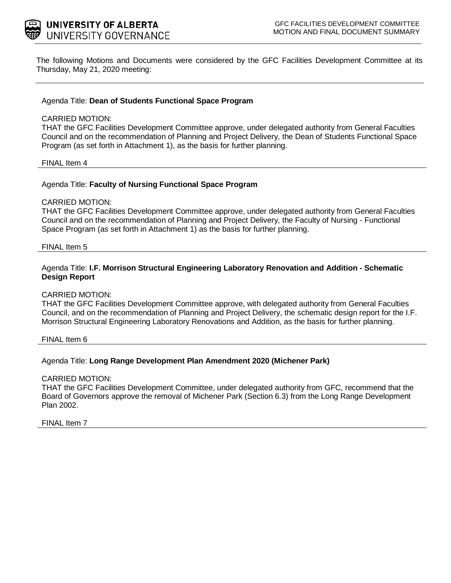

The following Motions and Documents were considered by the GFC Facilities Development Committee at its Thursday, May 21, 2020 meeting:

### Agenda Title: **Dean of Students Functional Space Program**

#### CARRIED MOTION:

THAT the GFC Facilities Development Committee approve, under delegated authority from General Faculties Council and on the recommendation of Planning and Project Delivery, the Dean of Students Functional Space Program (as set forth in Attachment 1), as the basis for further planning.

#### FINAL Item 4

#### Agenda Title: **Faculty of Nursing Functional Space Program**

#### CARRIED MOTION:

THAT the GFC Facilities Development Committee approve, under delegated authority from General Faculties Council and on the recommendation of Planning and Project Delivery, the Faculty of Nursing - Functional Space Program (as set forth in Attachment 1) as the basis for further planning.

#### FINAL Item 5

### Agenda Title: **I.F. Morrison Structural Engineering Laboratory Renovation and Addition - Schematic Design Report**

#### CARRIED MOTION:

THAT the GFC Facilities Development Committee approve, with delegated authority from General Faculties Council, and on the recommendation of Planning and Project Delivery, the schematic design report for the I.F. Morrison Structural Engineering Laboratory Renovations and Addition, as the basis for further planning.

FINAL Item 6

### Agenda Title: **Long Range Development Plan Amendment 2020 (Michener Park)**

#### CARRIED MOTION:

THAT the GFC Facilities Development Committee, under delegated authority from GFC, recommend that the Board of Governors approve the removal of Michener Park (Section 6.3) from the Long Range Development Plan 2002.

FINAL Item 7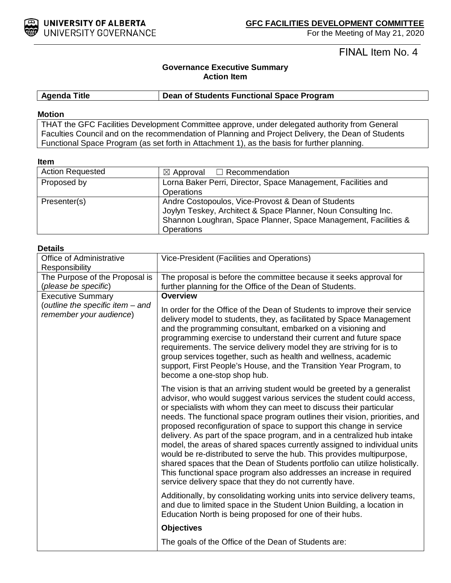

FINAL Item No. 4

### **Governance Executive Summary Action Item**

**Agenda Title Dean of Students Functional Space Program**

### **Motion**

THAT the GFC Facilities Development Committee approve, under delegated authority from General Faculties Council and on the recommendation of Planning and Project Delivery, the Dean of Students Functional Space Program (as set forth in Attachment 1), as the basis for further planning.

#### **Item**

| <b>Action Requested</b> | $\boxtimes$ Approval $\Box$ Recommendation                      |  |
|-------------------------|-----------------------------------------------------------------|--|
| Proposed by             | Lorna Baker Perri, Director, Space Management, Facilities and   |  |
|                         | <b>Operations</b>                                               |  |
| Presenter(s)            | Andre Costopoulos, Vice-Provost & Dean of Students              |  |
|                         | Joylyn Teskey, Architect & Space Planner, Noun Consulting Inc.  |  |
|                         | Shannon Loughran, Space Planner, Space Management, Facilities & |  |
|                         | <b>Operations</b>                                               |  |

### **Details**

| <b>Office of Administrative</b>                              | Vice-President (Facilities and Operations)                                                                                                                                                                                                                                                                                                                                                                                                                                                                                                                                                                                                                                                                                                                                                                                    |  |
|--------------------------------------------------------------|-------------------------------------------------------------------------------------------------------------------------------------------------------------------------------------------------------------------------------------------------------------------------------------------------------------------------------------------------------------------------------------------------------------------------------------------------------------------------------------------------------------------------------------------------------------------------------------------------------------------------------------------------------------------------------------------------------------------------------------------------------------------------------------------------------------------------------|--|
| Responsibility                                               |                                                                                                                                                                                                                                                                                                                                                                                                                                                                                                                                                                                                                                                                                                                                                                                                                               |  |
| The Purpose of the Proposal is                               | The proposal is before the committee because it seeks approval for                                                                                                                                                                                                                                                                                                                                                                                                                                                                                                                                                                                                                                                                                                                                                            |  |
| (please be specific)                                         | further planning for the Office of the Dean of Students.                                                                                                                                                                                                                                                                                                                                                                                                                                                                                                                                                                                                                                                                                                                                                                      |  |
| <b>Executive Summary</b><br>(outline the specific item - and | <b>Overview</b><br>In order for the Office of the Dean of Students to improve their service                                                                                                                                                                                                                                                                                                                                                                                                                                                                                                                                                                                                                                                                                                                                   |  |
| remember your audience)                                      | delivery model to students, they, as facilitated by Space Management<br>and the programming consultant, embarked on a visioning and<br>programming exercise to understand their current and future space<br>requirements. The service delivery model they are striving for is to<br>group services together, such as health and wellness, academic<br>support, First People's House, and the Transition Year Program, to                                                                                                                                                                                                                                                                                                                                                                                                      |  |
|                                                              | become a one-stop shop hub.                                                                                                                                                                                                                                                                                                                                                                                                                                                                                                                                                                                                                                                                                                                                                                                                   |  |
|                                                              | The vision is that an arriving student would be greeted by a generalist<br>advisor, who would suggest various services the student could access,<br>or specialists with whom they can meet to discuss their particular<br>needs. The functional space program outlines their vision, priorities, and<br>proposed reconfiguration of space to support this change in service<br>delivery. As part of the space program, and in a centralized hub intake<br>model, the areas of shared spaces currently assigned to individual units<br>would be re-distributed to serve the hub. This provides multipurpose,<br>shared spaces that the Dean of Students portfolio can utilize holistically.<br>This functional space program also addresses an increase in required<br>service delivery space that they do not currently have. |  |
|                                                              | Additionally, by consolidating working units into service delivery teams,<br>and due to limited space in the Student Union Building, a location in<br>Education North is being proposed for one of their hubs.                                                                                                                                                                                                                                                                                                                                                                                                                                                                                                                                                                                                                |  |
|                                                              | <b>Objectives</b>                                                                                                                                                                                                                                                                                                                                                                                                                                                                                                                                                                                                                                                                                                                                                                                                             |  |
|                                                              | The goals of the Office of the Dean of Students are:                                                                                                                                                                                                                                                                                                                                                                                                                                                                                                                                                                                                                                                                                                                                                                          |  |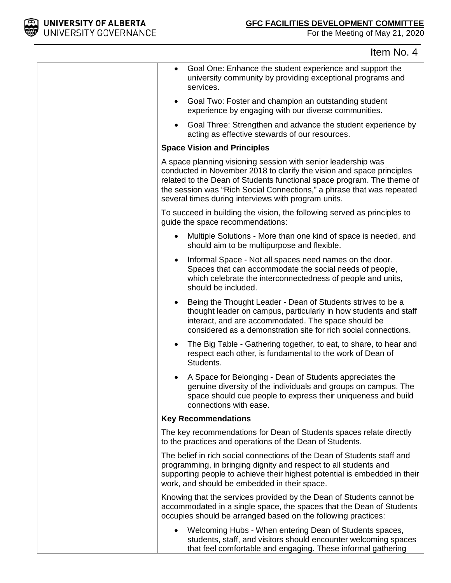

# Item No. 4

| Goal One: Enhance the student experience and support the<br>$\bullet$<br>university community by providing exceptional programs and<br>services.                                                                                                                                                                                                 |
|--------------------------------------------------------------------------------------------------------------------------------------------------------------------------------------------------------------------------------------------------------------------------------------------------------------------------------------------------|
| Goal Two: Foster and champion an outstanding student<br>$\bullet$<br>experience by engaging with our diverse communities.                                                                                                                                                                                                                        |
| Goal Three: Strengthen and advance the student experience by<br>$\bullet$<br>acting as effective stewards of our resources.                                                                                                                                                                                                                      |
| <b>Space Vision and Principles</b>                                                                                                                                                                                                                                                                                                               |
| A space planning visioning session with senior leadership was<br>conducted in November 2018 to clarify the vision and space principles<br>related to the Dean of Students functional space program. The theme of<br>the session was "Rich Social Connections," a phrase that was repeated<br>several times during interviews with program units. |
| To succeed in building the vision, the following served as principles to<br>guide the space recommendations:                                                                                                                                                                                                                                     |
| Multiple Solutions - More than one kind of space is needed, and<br>should aim to be multipurpose and flexible.                                                                                                                                                                                                                                   |
| Informal Space - Not all spaces need names on the door.<br>Spaces that can accommodate the social needs of people,<br>which celebrate the interconnectedness of people and units,<br>should be included.                                                                                                                                         |
| Being the Thought Leader - Dean of Students strives to be a<br>thought leader on campus, particularly in how students and staff<br>interact, and are accommodated. The space should be<br>considered as a demonstration site for rich social connections.                                                                                        |
| The Big Table - Gathering together, to eat, to share, to hear and<br>$\bullet$<br>respect each other, is fundamental to the work of Dean of<br>Students.                                                                                                                                                                                         |
| A Space for Belonging - Dean of Students appreciates the<br>genuine diversity of the individuals and groups on campus. The<br>space should cue people to express their uniqueness and build<br>connections with ease.                                                                                                                            |
| <b>Key Recommendations</b>                                                                                                                                                                                                                                                                                                                       |
| The key recommendations for Dean of Students spaces relate directly<br>to the practices and operations of the Dean of Students.                                                                                                                                                                                                                  |
| The belief in rich social connections of the Dean of Students staff and<br>programming, in bringing dignity and respect to all students and<br>supporting people to achieve their highest potential is embedded in their<br>work, and should be embedded in their space.                                                                         |
| Knowing that the services provided by the Dean of Students cannot be<br>accommodated in a single space, the spaces that the Dean of Students<br>occupies should be arranged based on the following practices:                                                                                                                                    |
| Welcoming Hubs - When entering Dean of Students spaces,<br>students, staff, and visitors should encounter welcoming spaces<br>that feel comfortable and engaging. These informal gathering                                                                                                                                                       |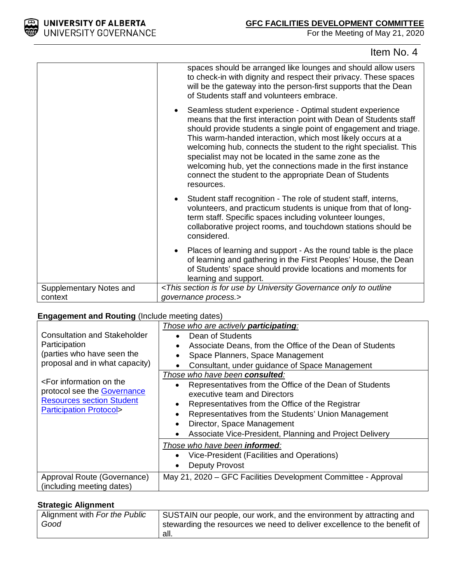

## Item No. 4

|                                    | spaces should be arranged like lounges and should allow users<br>to check-in with dignity and respect their privacy. These spaces<br>will be the gateway into the person-first supports that the Dean<br>of Students staff and volunteers embrace.                                                                                                                                                                                                                                                                                        |
|------------------------------------|-------------------------------------------------------------------------------------------------------------------------------------------------------------------------------------------------------------------------------------------------------------------------------------------------------------------------------------------------------------------------------------------------------------------------------------------------------------------------------------------------------------------------------------------|
|                                    | Seamless student experience - Optimal student experience<br>means that the first interaction point with Dean of Students staff<br>should provide students a single point of engagement and triage.<br>This warm-handed interaction, which most likely occurs at a<br>welcoming hub, connects the student to the right specialist. This<br>specialist may not be located in the same zone as the<br>welcoming hub, yet the connections made in the first instance<br>connect the student to the appropriate Dean of Students<br>resources. |
|                                    | Student staff recognition - The role of student staff, interns,<br>volunteers, and practicum students is unique from that of long-<br>term staff. Specific spaces including volunteer lounges,<br>collaborative project rooms, and touchdown stations should be<br>considered.                                                                                                                                                                                                                                                            |
|                                    | Places of learning and support - As the round table is the place<br>of learning and gathering in the First Peoples' House, the Dean<br>of Students' space should provide locations and moments for<br>learning and support.                                                                                                                                                                                                                                                                                                               |
| Supplementary Notes and<br>context | <this by="" for="" governance="" is="" only="" outline<br="" section="" to="" university="" use="">governance process.&gt;</this>                                                                                                                                                                                                                                                                                                                                                                                                         |

### **Engagement and Routing** (Include meeting dates)

|                                                                                                                                         | Those who are actively <b>participating</b> :                                |  |  |
|-----------------------------------------------------------------------------------------------------------------------------------------|------------------------------------------------------------------------------|--|--|
| Consultation and Stakeholder                                                                                                            | Dean of Students<br>Associate Deans, from the Office of the Dean of Students |  |  |
| Participation                                                                                                                           |                                                                              |  |  |
| (parties who have seen the                                                                                                              | Space Planners, Space Management                                             |  |  |
| proposal and in what capacity)                                                                                                          | Consultant, under guidance of Space Management                               |  |  |
|                                                                                                                                         | Those who have been consulted:                                               |  |  |
| <for information="" on="" td="" the<=""><td>Representatives from the Office of the Dean of Students<br/><math>\bullet</math></td></for> | Representatives from the Office of the Dean of Students<br>$\bullet$         |  |  |
| protocol see the <b>Governance</b>                                                                                                      | executive team and Directors                                                 |  |  |
| <b>Resources section Student</b>                                                                                                        | Representatives from the Office of the Registrar<br>$\bullet$                |  |  |
| <b>Participation Protocol&gt;</b>                                                                                                       | Representatives from the Students' Union Management<br>$\bullet$             |  |  |
|                                                                                                                                         | Director, Space Management<br>$\bullet$                                      |  |  |
|                                                                                                                                         | Associate Vice-President, Planning and Project Delivery<br>$\bullet$         |  |  |
|                                                                                                                                         | Those who have been <b>informed</b> :                                        |  |  |
|                                                                                                                                         | Vice-President (Facilities and Operations)<br>$\bullet$                      |  |  |
|                                                                                                                                         | Deputy Provost<br>$\bullet$                                                  |  |  |
| Approval Route (Governance)                                                                                                             | May 21, 2020 – GFC Facilities Development Committee - Approval               |  |  |
| (including meeting dates)                                                                                                               |                                                                              |  |  |

### **Strategic Alignment**

| Alignment with For the Public<br>Good | SUSTAIN our people, our work, and the environment by attracting and<br>stewarding the resources we need to deliver excellence to the benefit of |
|---------------------------------------|-------------------------------------------------------------------------------------------------------------------------------------------------|
|                                       | all.                                                                                                                                            |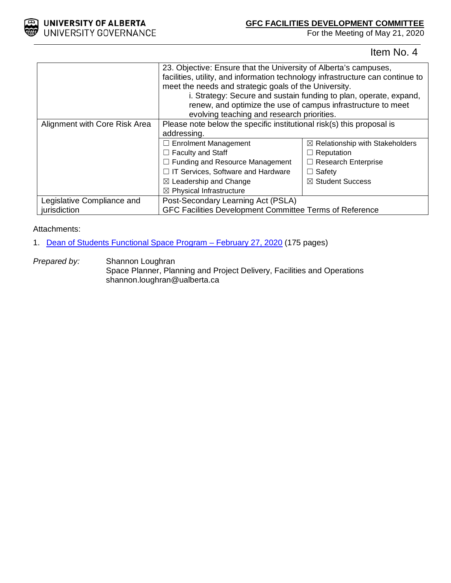

### **GFC FACILITIES DEVELOPMENT COMMITTEE**

For the Meeting of May 21, 2020

## Item No. 4

|                               | 23. Objective: Ensure that the University of Alberta's campuses,<br>facilities, utility, and information technology infrastructure can continue to<br>meet the needs and strategic goals of the University.<br>i. Strategy: Secure and sustain funding to plan, operate, expand,<br>renew, and optimize the use of campus infrastructure to meet<br>evolving teaching and research priorities. |                                            |
|-------------------------------|------------------------------------------------------------------------------------------------------------------------------------------------------------------------------------------------------------------------------------------------------------------------------------------------------------------------------------------------------------------------------------------------|--------------------------------------------|
| Alignment with Core Risk Area | Please note below the specific institutional risk(s) this proposal is<br>addressing.                                                                                                                                                                                                                                                                                                           |                                            |
|                               | □ Enrolment Management                                                                                                                                                                                                                                                                                                                                                                         | $\boxtimes$ Relationship with Stakeholders |
|                               | $\Box$ Faculty and Staff                                                                                                                                                                                                                                                                                                                                                                       | $\Box$ Reputation                          |
|                               | $\Box$ Funding and Resource Management                                                                                                                                                                                                                                                                                                                                                         | $\Box$ Research Enterprise                 |
|                               | $\Box$ IT Services, Software and Hardware                                                                                                                                                                                                                                                                                                                                                      | $\Box$ Safety                              |
|                               | $\boxtimes$ Leadership and Change                                                                                                                                                                                                                                                                                                                                                              | $\boxtimes$ Student Success                |
|                               | $\boxtimes$ Physical Infrastructure                                                                                                                                                                                                                                                                                                                                                            |                                            |
| Legislative Compliance and    | Post-Secondary Learning Act (PSLA)                                                                                                                                                                                                                                                                                                                                                             |                                            |
| jurisdiction                  | GFC Facilities Development Committee Terms of Reference                                                                                                                                                                                                                                                                                                                                        |                                            |

### Attachments:

1. Dean of Students Functional Space Program - February 27, 2020 (175 pages)

*Prepared by:* Shannon Loughran Space Planner, Planning and Project Delivery, Facilities and Operations shannon.loughran@ualberta.ca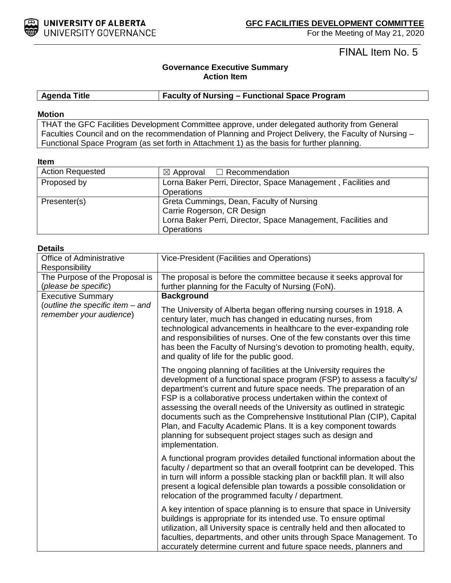

FINAL Item No. 5

### **Governance Executive Summary Action Item**

### **Agenda Title Faculty of Nursing – Functional Space Program**

#### **Motion**

THAT the GFC Facilities Development Committee approve, under delegated authority from General Faculties Council and on the recommendation of Planning and Project Delivery, the Faculty of Nursing – Functional Space Program (as set forth in Attachment 1) as the basis for further planning.

#### **Item**

| <b>Action Requested</b> | $\boxtimes$ Approval $\Box$ Recommendation                    |  |
|-------------------------|---------------------------------------------------------------|--|
| Proposed by             | Lorna Baker Perri, Director, Space Management, Facilities and |  |
|                         | <b>Operations</b>                                             |  |
| Presenter(s)            | Greta Cummings, Dean, Faculty of Nursing                      |  |
|                         | Carrie Rogerson, CR Design                                    |  |
|                         | Lorna Baker Perri, Director, Space Management, Facilities and |  |
|                         | <b>Operations</b>                                             |  |

### **Details**

| Office of Administrative                                    | Vice-President (Facilities and Operations)                                                                                                                                                                                                                                                                                                                                                                                                                                                                                                                                                 |  |  |
|-------------------------------------------------------------|--------------------------------------------------------------------------------------------------------------------------------------------------------------------------------------------------------------------------------------------------------------------------------------------------------------------------------------------------------------------------------------------------------------------------------------------------------------------------------------------------------------------------------------------------------------------------------------------|--|--|
| Responsibility                                              |                                                                                                                                                                                                                                                                                                                                                                                                                                                                                                                                                                                            |  |  |
| The Purpose of the Proposal is                              | The proposal is before the committee because it seeks approval for                                                                                                                                                                                                                                                                                                                                                                                                                                                                                                                         |  |  |
| (please be specific)                                        | further planning for the Faculty of Nursing (FoN).                                                                                                                                                                                                                                                                                                                                                                                                                                                                                                                                         |  |  |
| <b>Executive Summary</b>                                    | <b>Background</b>                                                                                                                                                                                                                                                                                                                                                                                                                                                                                                                                                                          |  |  |
| (outline the specific item - and<br>remember your audience) | The University of Alberta began offering nursing courses in 1918. A<br>century later, much has changed in educating nurses, from<br>technological advancements in healthcare to the ever-expanding role<br>and responsibilities of nurses. One of the few constants over this time<br>has been the Faculty of Nursing's devotion to promoting health, equity,<br>and quality of life for the public good.                                                                                                                                                                                  |  |  |
|                                                             | The ongoing planning of facilities at the University requires the<br>development of a functional space program (FSP) to assess a faculty's/<br>department's current and future space needs. The preparation of an<br>FSP is a collaborative process undertaken within the context of<br>assessing the overall needs of the University as outlined in strategic<br>documents such as the Comprehensive Institutional Plan (CIP), Capital<br>Plan, and Faculty Academic Plans. It is a key component towards<br>planning for subsequent project stages such as design and<br>implementation. |  |  |
|                                                             | A functional program provides detailed functional information about the<br>faculty / department so that an overall footprint can be developed. This<br>in turn will inform a possible stacking plan or backfill plan. It will also<br>present a logical defensible plan towards a possible consolidation or<br>relocation of the programmed faculty / department.                                                                                                                                                                                                                          |  |  |
|                                                             | A key intention of space planning is to ensure that space in University<br>buildings is appropriate for its intended use. To ensure optimal<br>utilization, all University space is centrally held and then allocated to<br>faculties, departments, and other units through Space Management. To<br>accurately determine current and future space needs, planners and                                                                                                                                                                                                                      |  |  |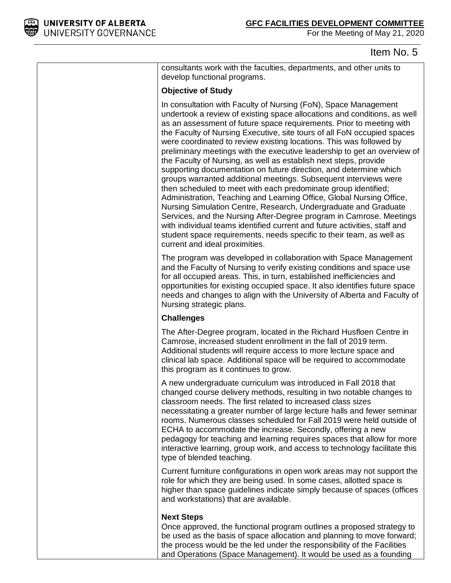

### Item No. 5

consultants work with the faculties, departments, and other units to develop functional programs.

### **Objective of Study**

In consultation with Faculty of Nursing (FoN), Space Management undertook a review of existing space allocations and conditions, as well as an assessment of future space requirements. Prior to meeting with the Faculty of Nursing Executive, site tours of all FoN occupied spaces were coordinated to review existing locations. This was followed by preliminary meetings with the executive leadership to get an overview of the Faculty of Nursing, as well as establish next steps, provide supporting documentation on future direction, and determine which groups warranted additional meetings. Subsequent interviews were then scheduled to meet with each predominate group identified; Administration, Teaching and Learning Office, Global Nursing Office, Nursing Simulation Centre, Research, Undergraduate and Graduate Services, and the Nursing After-Degree program in Camrose. Meetings with individual teams identified current and future activities, staff and student space requirements, needs specific to their team, as well as current and ideal proximities.

The program was developed in collaboration with Space Management and the Faculty of Nursing to verify existing conditions and space use for all occupied areas. This, in turn, established inefficiencies and opportunities for existing occupied space. It also identifies future space needs and changes to align with the University of Alberta and Faculty of Nursing strategic plans.

### **Challenges**

The After-Degree program, located in the Richard Husfloen Centre in Camrose, increased student enrollment in the fall of 2019 term. Additional students will require access to more lecture space and clinical lab space. Additional space will be required to accommodate this program as it continues to grow.

A new undergraduate curriculum was introduced in Fall 2018 that changed course delivery methods, resulting in two notable changes to classroom needs. The first related to increased class sizes necessitating a greater number of large lecture halls and fewer seminar rooms. Numerous classes scheduled for Fall 2019 were held outside of ECHA to accommodate the increase. Secondly, offering a new pedagogy for teaching and learning requires spaces that allow for more interactive learning, group work, and access to technology facilitate this type of blended teaching.

Current furniture configurations in open work areas may not support the role for which they are being used. In some cases, allotted space is higher than space guidelines indicate simply because of spaces (offices and workstations) that are available.

### **Next Steps**

Once approved, the functional program outlines a proposed strategy to be used as the basis of space allocation and planning to move forward; the process would be the led under the responsibility of the Facilities and Operations (Space Management). It would be used as a founding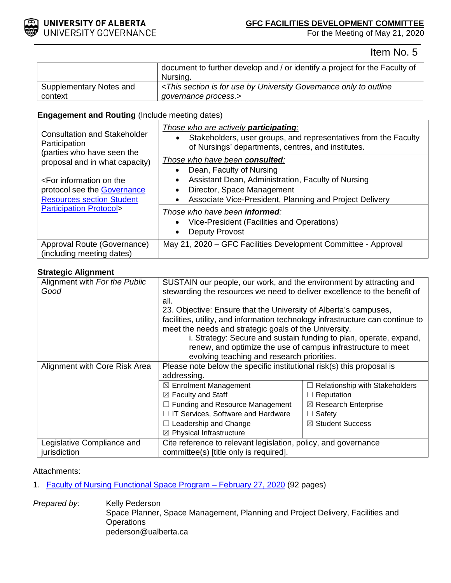

### **GFC FACILITIES DEVELOPMENT COMMITTEE**

For the Meeting of May 21, 2020

Item No. 5

|                         | document to further develop and / or identify a project for the Faculty of                                     |  |
|-------------------------|----------------------------------------------------------------------------------------------------------------|--|
|                         | Nursina.                                                                                                       |  |
| Supplementary Notes and | <this by="" for="" governance="" is="" only="" outline<="" section="" td="" to="" university="" use=""></this> |  |
| context                 | qovernance process.>                                                                                           |  |

### **Engagement and Routing** (Include meeting dates)

| <b>Consultation and Stakeholder</b><br>Participation<br>(parties who have seen the<br>proposal and in what capacity)<br><for information="" on="" the<br="">protocol see the <b>Governance</b><br/><b>Resources section Student</b><br/><b>Participation Protocol&gt;</b></for> | Those who are actively <b>participating</b> :<br>Stakeholders, user groups, and representatives from the Faculty<br>$\bullet$<br>of Nursings' departments, centres, and institutes.                            |
|---------------------------------------------------------------------------------------------------------------------------------------------------------------------------------------------------------------------------------------------------------------------------------|----------------------------------------------------------------------------------------------------------------------------------------------------------------------------------------------------------------|
|                                                                                                                                                                                                                                                                                 | Those who have been consulted:<br>Dean, Faculty of Nursing<br>Assistant Dean, Administration, Faculty of Nursing<br>٠<br>Director, Space Management<br>Associate Vice-President, Planning and Project Delivery |
|                                                                                                                                                                                                                                                                                 | Those who have been <b>informed</b> :<br>Vice-President (Facilities and Operations)<br>$\bullet$<br>Deputy Provost                                                                                             |
| Approval Route (Governance)<br>(including meeting dates)                                                                                                                                                                                                                        | May 21, 2020 – GFC Facilities Development Committee - Approval                                                                                                                                                 |

### **Strategic Alignment**

| Alignment with For the Public<br>Good | SUSTAIN our people, our work, and the environment by attracting and<br>stewarding the resources we need to deliver excellence to the benefit of |                                       |  |
|---------------------------------------|-------------------------------------------------------------------------------------------------------------------------------------------------|---------------------------------------|--|
|                                       | all.                                                                                                                                            |                                       |  |
|                                       | 23. Objective: Ensure that the University of Alberta's campuses,                                                                                |                                       |  |
|                                       | facilities, utility, and information technology infrastructure can continue to                                                                  |                                       |  |
|                                       | meet the needs and strategic goals of the University.                                                                                           |                                       |  |
|                                       | i. Strategy: Secure and sustain funding to plan, operate, expand,                                                                               |                                       |  |
|                                       | renew, and optimize the use of campus infrastructure to meet                                                                                    |                                       |  |
|                                       | evolving teaching and research priorities.                                                                                                      |                                       |  |
| Alignment with Core Risk Area         | Please note below the specific institutional risk(s) this proposal is                                                                           |                                       |  |
|                                       | addressing.                                                                                                                                     |                                       |  |
|                                       | $\boxtimes$ Enrolment Management                                                                                                                | $\Box$ Relationship with Stakeholders |  |
|                                       | $\boxtimes$ Faculty and Staff                                                                                                                   | $\Box$ Reputation                     |  |
|                                       | $\Box$ Funding and Resource Management                                                                                                          | $\boxtimes$ Research Enterprise       |  |
|                                       | $\Box$ IT Services, Software and Hardware                                                                                                       | $\Box$ Safety                         |  |
|                                       | $\Box$ Leadership and Change                                                                                                                    | ⊠ Student Success                     |  |
|                                       | $\boxtimes$ Physical Infrastructure                                                                                                             |                                       |  |
| Legislative Compliance and            | Cite reference to relevant legislation, policy, and governance                                                                                  |                                       |  |
| jurisdiction                          | committee(s) [title only is required].                                                                                                          |                                       |  |

### Attachments:

- 1. Faculty of Nursing Functional Space Program February 27, 2020 (92 pages)
- **Prepared by:** Kelly Pederson Space Planner, Space Management, Planning and Project Delivery, Facilities and **Operations** pederson@ualberta.ca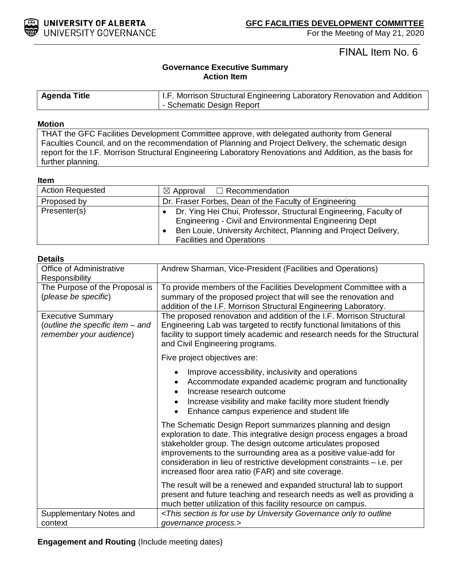

## FINAL Item No. 6

### **Governance Executive Summary Action Item**

| <b>Agenda Title</b> | I.F. Morrison Structural Engineering Laboratory Renovation and Addition |
|---------------------|-------------------------------------------------------------------------|
|                     | - Schematic Design Report                                               |

### **Motion**

THAT the GFC Facilities Development Committee approve, with delegated authority from General Faculties Council, and on the recommendation of Planning and Project Delivery, the schematic design report for the I.F. Morrison Structural Engineering Laboratory Renovations and Addition, as the basis for further planning.

### **Item**

| <b>Action Requested</b> | $\boxtimes$ Approval $\Box$ Recommendation                                                                                                                                                                                        |
|-------------------------|-----------------------------------------------------------------------------------------------------------------------------------------------------------------------------------------------------------------------------------|
| Proposed by             | Dr. Fraser Forbes, Dean of the Faculty of Engineering                                                                                                                                                                             |
| Presenter(s)            | Dr. Ying Hei Chui, Professor, Structural Engineering, Faculty of<br>Engineering - Civil and Environmental Engineering Dept<br>Ben Louie, University Architect, Planning and Project Delivery,<br><b>Facilities and Operations</b> |

| <b>Details</b>                                                                          |                                                                                                                                                                                                                                                                                                                                                                                                        |  |
|-----------------------------------------------------------------------------------------|--------------------------------------------------------------------------------------------------------------------------------------------------------------------------------------------------------------------------------------------------------------------------------------------------------------------------------------------------------------------------------------------------------|--|
| Office of Administrative<br>Responsibility                                              | Andrew Sharman, Vice-President (Facilities and Operations)                                                                                                                                                                                                                                                                                                                                             |  |
| The Purpose of the Proposal is<br>(please be specific)                                  | To provide members of the Facilities Development Committee with a<br>summary of the proposed project that will see the renovation and<br>addition of the I.F. Morrison Structural Engineering Laboratory.                                                                                                                                                                                              |  |
| <b>Executive Summary</b><br>(outline the specific item - and<br>remember your audience) | The proposed renovation and addition of the I.F. Morrison Structural<br>Engineering Lab was targeted to rectify functional limitations of this<br>facility to support timely academic and research needs for the Structural<br>and Civil Engineering programs.                                                                                                                                         |  |
|                                                                                         | Five project objectives are:                                                                                                                                                                                                                                                                                                                                                                           |  |
|                                                                                         | Improve accessibility, inclusivity and operations<br>Accommodate expanded academic program and functionality<br>Increase research outcome<br>$\bullet$<br>Increase visibility and make facility more student friendly<br>Enhance campus experience and student life                                                                                                                                    |  |
|                                                                                         | The Schematic Design Report summarizes planning and design<br>exploration to date. This integrative design process engages a broad<br>stakeholder group. The design outcome articulates proposed<br>improvements to the surrounding area as a positive value-add for<br>consideration in lieu of restrictive development constraints – i.e. per<br>increased floor area ratio (FAR) and site coverage. |  |
|                                                                                         | The result will be a renewed and expanded structural lab to support<br>present and future teaching and research needs as well as providing a<br>much better utilization of this facility resource on campus.                                                                                                                                                                                           |  |
| Supplementary Notes and<br>context                                                      | <this by="" for="" governance="" is="" only="" outline<br="" section="" to="" university="" use="">governance process.&gt;</this>                                                                                                                                                                                                                                                                      |  |

 **Engagement and Routing** (Include meeting dates)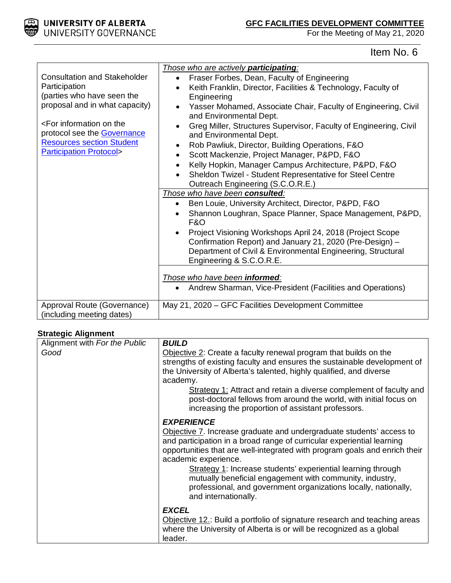

# Item No. 6

|                                                                                                                                      | Those who are actively participating:                                                     |  |  |  |
|--------------------------------------------------------------------------------------------------------------------------------------|-------------------------------------------------------------------------------------------|--|--|--|
| <b>Consultation and Stakeholder</b>                                                                                                  | Fraser Forbes, Dean, Faculty of Engineering<br>$\bullet$                                  |  |  |  |
| Participation                                                                                                                        | Keith Franklin, Director, Facilities & Technology, Faculty of                             |  |  |  |
| (parties who have seen the                                                                                                           | Engineering                                                                               |  |  |  |
| proposal and in what capacity)                                                                                                       | Yasser Mohamed, Associate Chair, Faculty of Engineering, Civil<br>and Environmental Dept. |  |  |  |
| <for information="" on="" td="" the<=""><td colspan="4">Greg Miller, Structures Supervisor, Faculty of Engineering, Civil</td></for> | Greg Miller, Structures Supervisor, Faculty of Engineering, Civil                         |  |  |  |
| protocol see the <b>Governance</b>                                                                                                   | and Environmental Dept.                                                                   |  |  |  |
| <b>Resources section Student</b>                                                                                                     | Rob Pawliuk, Director, Building Operations, F&O<br>$\bullet$                              |  |  |  |
| <b>Participation Protocol&gt;</b>                                                                                                    | Scott Mackenzie, Project Manager, P&PD, F&O<br>$\bullet$                                  |  |  |  |
|                                                                                                                                      | Kelly Hopkin, Manager Campus Architecture, P&PD, F&O                                      |  |  |  |
|                                                                                                                                      | Sheldon Twizel - Student Representative for Steel Centre                                  |  |  |  |
|                                                                                                                                      | Outreach Engineering (S.C.O.R.E.)                                                         |  |  |  |
|                                                                                                                                      | Those who have been consulted:                                                            |  |  |  |
|                                                                                                                                      | Ben Louie, University Architect, Director, P&PD, F&O                                      |  |  |  |
|                                                                                                                                      | Shannon Loughran, Space Planner, Space Management, P&PD,<br>$\bullet$<br><b>F&amp;O</b>   |  |  |  |
|                                                                                                                                      | Project Visioning Workshops April 24, 2018 (Project Scope<br>$\bullet$                    |  |  |  |
|                                                                                                                                      | Confirmation Report) and January 21, 2020 (Pre-Design) -                                  |  |  |  |
|                                                                                                                                      | Department of Civil & Environmental Engineering, Structural                               |  |  |  |
|                                                                                                                                      | Engineering & S.C.O.R.E.                                                                  |  |  |  |
|                                                                                                                                      |                                                                                           |  |  |  |
|                                                                                                                                      | Those who have been informed:                                                             |  |  |  |
|                                                                                                                                      | Andrew Sharman, Vice-President (Facilities and Operations)<br>$\bullet$                   |  |  |  |
| Approval Route (Governance)                                                                                                          | May 21, 2020 – GFC Facilities Development Committee                                       |  |  |  |
| (including meeting dates)                                                                                                            |                                                                                           |  |  |  |

### **Strategic Alignment**

| Alignment with For the Public | <b>BUILD</b>                                                                                                                                                                                                                                                                                                                                                                                                                                                                                     |
|-------------------------------|--------------------------------------------------------------------------------------------------------------------------------------------------------------------------------------------------------------------------------------------------------------------------------------------------------------------------------------------------------------------------------------------------------------------------------------------------------------------------------------------------|
| Good                          | Objective 2: Create a faculty renewal program that builds on the<br>strengths of existing faculty and ensures the sustainable development of<br>the University of Alberta's talented, highly qualified, and diverse<br>academy.<br>Strategy 1: Attract and retain a diverse complement of faculty and<br>post-doctoral fellows from around the world, with initial focus on<br>increasing the proportion of assistant professors.                                                                |
|                               | <b>EXPERIENCE</b><br>Objective 7. Increase graduate and undergraduate students' access to<br>and participation in a broad range of curricular experiential learning<br>opportunities that are well-integrated with program goals and enrich their<br>academic experience.<br>Strategy 1: Increase students' experiential learning through<br>mutually beneficial engagement with community, industry,<br>professional, and government organizations locally, nationally,<br>and internationally. |
|                               | <b>EXCEL</b><br>Objective 12.: Build a portfolio of signature research and teaching areas<br>where the University of Alberta is or will be recognized as a global<br>leader.                                                                                                                                                                                                                                                                                                                     |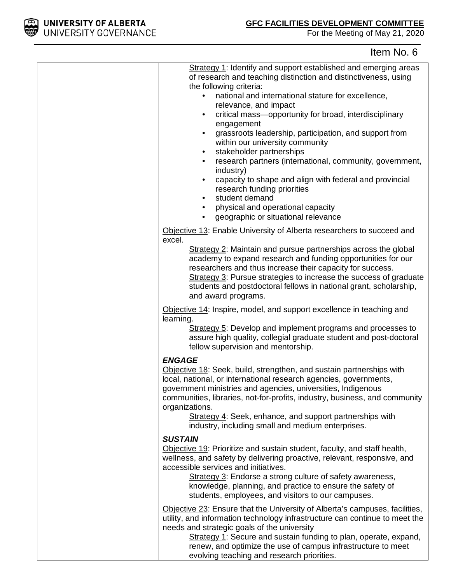

# Item No. 6

| Strategy 1: Identify and support established and emerging areas<br>of research and teaching distinction and distinctiveness, using<br>the following criteria:<br>national and international stature for excellence,<br>$\bullet$<br>relevance, and impact<br>critical mass-opportunity for broad, interdisciplinary<br>$\bullet$<br>engagement<br>grassroots leadership, participation, and support from<br>$\bullet$<br>within our university community<br>stakeholder partnerships<br>$\bullet$<br>research partners (international, community, government,<br>$\bullet$<br>industry)<br>capacity to shape and align with federal and provincial<br>$\bullet$<br>research funding priorities<br>student demand<br>$\bullet$<br>physical and operational capacity<br>$\bullet$<br>geographic or situational relevance<br>$\bullet$ |
|-------------------------------------------------------------------------------------------------------------------------------------------------------------------------------------------------------------------------------------------------------------------------------------------------------------------------------------------------------------------------------------------------------------------------------------------------------------------------------------------------------------------------------------------------------------------------------------------------------------------------------------------------------------------------------------------------------------------------------------------------------------------------------------------------------------------------------------|
| Objective 13: Enable University of Alberta researchers to succeed and                                                                                                                                                                                                                                                                                                                                                                                                                                                                                                                                                                                                                                                                                                                                                               |
| excel.<br>Strategy 2: Maintain and pursue partnerships across the global<br>academy to expand research and funding opportunities for our<br>researchers and thus increase their capacity for success.<br>Strategy 3: Pursue strategies to increase the success of graduate<br>students and postdoctoral fellows in national grant, scholarship,<br>and award programs.                                                                                                                                                                                                                                                                                                                                                                                                                                                              |
| Objective 14: Inspire, model, and support excellence in teaching and                                                                                                                                                                                                                                                                                                                                                                                                                                                                                                                                                                                                                                                                                                                                                                |
| learning.<br>Strategy 5: Develop and implement programs and processes to<br>assure high quality, collegial graduate student and post-doctoral<br>fellow supervision and mentorship.                                                                                                                                                                                                                                                                                                                                                                                                                                                                                                                                                                                                                                                 |
| <b>ENGAGE</b><br>Objective 18: Seek, build, strengthen, and sustain partnerships with<br>local, national, or international research agencies, governments,<br>government ministries and agencies, universities, Indigenous<br>communities, libraries, not-for-profits, industry, business, and community<br>organizations.<br>Strategy 4: Seek, enhance, and support partnerships with<br>industry, including small and medium enterprises.                                                                                                                                                                                                                                                                                                                                                                                         |
| <b>SUSTAIN</b><br>Objective 19: Prioritize and sustain student, faculty, and staff health,<br>wellness, and safety by delivering proactive, relevant, responsive, and<br>accessible services and initiatives.<br>Strategy 3: Endorse a strong culture of safety awareness,<br>knowledge, planning, and practice to ensure the safety of<br>students, employees, and visitors to our campuses.                                                                                                                                                                                                                                                                                                                                                                                                                                       |
| Objective 23: Ensure that the University of Alberta's campuses, facilities,<br>utility, and information technology infrastructure can continue to meet the<br>needs and strategic goals of the university<br>Strategy 1: Secure and sustain funding to plan, operate, expand,<br>renew, and optimize the use of campus infrastructure to meet<br>evolving teaching and research priorities.                                                                                                                                                                                                                                                                                                                                                                                                                                         |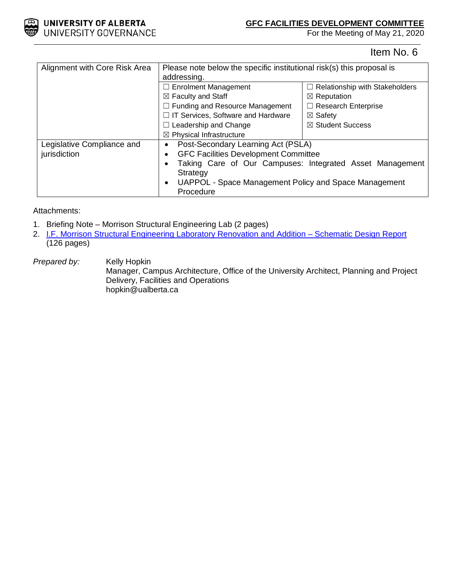

Item No. 6

| Alignment with Core Risk Area | Please note below the specific institutional risk(s) this proposal is                                                                                   |                                       |  |
|-------------------------------|---------------------------------------------------------------------------------------------------------------------------------------------------------|---------------------------------------|--|
|                               | addressing.                                                                                                                                             |                                       |  |
|                               | $\Box$ Enrolment Management                                                                                                                             | $\Box$ Relationship with Stakeholders |  |
|                               | $\boxtimes$ Faculty and Staff                                                                                                                           | $\boxtimes$ Reputation                |  |
|                               | $\Box$ Funding and Resource Management                                                                                                                  | $\Box$ Research Enterprise            |  |
|                               | □ IT Services, Software and Hardware                                                                                                                    | $\boxtimes$ Safety                    |  |
|                               | $\Box$ Leadership and Change                                                                                                                            | $\boxtimes$ Student Success           |  |
|                               | $\boxtimes$ Physical Infrastructure                                                                                                                     |                                       |  |
| Legislative Compliance and    | Post-Secondary Learning Act (PSLA)<br>$\bullet$                                                                                                         |                                       |  |
| jurisdiction                  | <b>GFC Facilities Development Committee</b>                                                                                                             |                                       |  |
|                               | Taking Care of Our Campuses: Integrated Asset Management<br>Strategy<br>UAPPOL - Space Management Policy and Space Management<br>$\bullet$<br>Procedure |                                       |  |
|                               |                                                                                                                                                         |                                       |  |
|                               |                                                                                                                                                         |                                       |  |
|                               |                                                                                                                                                         |                                       |  |

Attachments:

- 1. Briefing Note Morrison Structural Engineering Lab (2 pages)
- 2. I.F. Morrison Structural Engineering Laboratory Renovation and Addition Schematic Design Report (126 pages)

**Prepared by:** Kelly Hopkin Manager, Campus Architecture, Office of the University Architect, Planning and Project Delivery, Facilities and Operations hopkin@ualberta.ca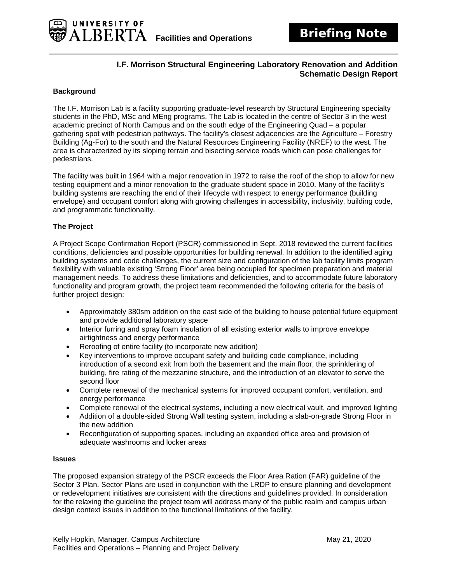### **I.F. Morrison Structural Engineering Laboratory Renovation and Addition Schematic Design Report**

### **Background**

UNIVERSITY OF

**BERTA** 

The I.F. Morrison Lab is a facility supporting graduate-level research by Structural Engineering specialty students in the PhD, MSc and MEng programs. The Lab is located in the centre of Sector 3 in the west academic precinct of North Campus and on the south edge of the Engineering Quad – a popular gathering spot with pedestrian pathways. The facility's closest adjacencies are the Agriculture – Forestry Building (Ag-For) to the south and the Natural Resources Engineering Facility (NREF) to the west. The area is characterized by its sloping terrain and bisecting service roads which can pose challenges for pedestrians.

The facility was built in 1964 with a major renovation in 1972 to raise the roof of the shop to allow for new testing equipment and a minor renovation to the graduate student space in 2010. Many of the facility's building systems are reaching the end of their lifecycle with respect to energy performance (building envelope) and occupant comfort along with growing challenges in accessibility, inclusivity, building code, and programmatic functionality.

### **The Project**

A Project Scope Confirmation Report (PSCR) commissioned in Sept. 2018 reviewed the current facilities conditions, deficiencies and possible opportunities for building renewal. In addition to the identified aging building systems and code challenges, the current size and configuration of the lab facility limits program flexibility with valuable existing 'Strong Floor' area being occupied for specimen preparation and material management needs. To address these limitations and deficiencies, and to accommodate future laboratory functionality and program growth, the project team recommended the following criteria for the basis of further project design:

- Approximately 380sm addition on the east side of the building to house potential future equipment and provide additional laboratory space
- Interior furring and spray foam insulation of all existing exterior walls to improve envelope airtightness and energy performance
- Reroofing of entire facility (to incorporate new addition)
- Key interventions to improve occupant safety and building code compliance, including introduction of a second exit from both the basement and the main floor, the sprinklering of building, fire rating of the mezzanine structure, and the introduction of an elevator to serve the second floor
- Complete renewal of the mechanical systems for improved occupant comfort, ventilation, and energy performance
- Complete renewal of the electrical systems, including a new electrical vault, and improved lighting
- Addition of a double-sided Strong Wall testing system, including a slab-on-grade Strong Floor in the new addition
- Reconfiguration of supporting spaces, including an expanded office area and provision of adequate washrooms and locker areas

#### **Issues**

The proposed expansion strategy of the PSCR exceeds the Floor Area Ration (FAR) guideline of the Sector 3 Plan. Sector Plans are used in conjunction with the LRDP to ensure planning and development or redevelopment initiatives are consistent with the directions and guidelines provided. In consideration for the relaxing the guideline the project team will address many of the public realm and campus urban design context issues in addition to the functional limitations of the facility.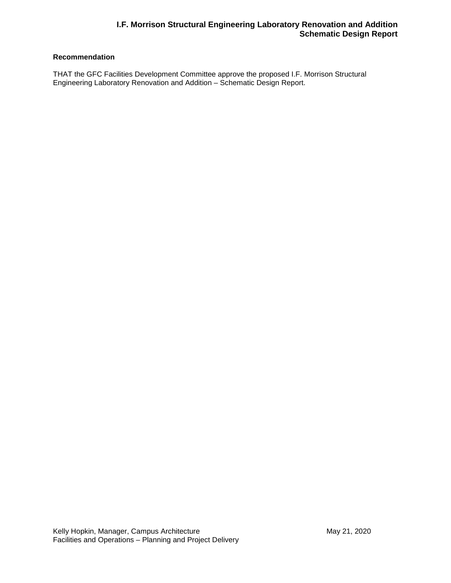### **I.F. Morrison Structural Engineering Laboratory Renovation and Addition Schematic Design Report**

### **Recommendation**

THAT the GFC Facilities Development Committee approve the proposed I.F. Morrison Structural Engineering Laboratory Renovation and Addition – Schematic Design Report.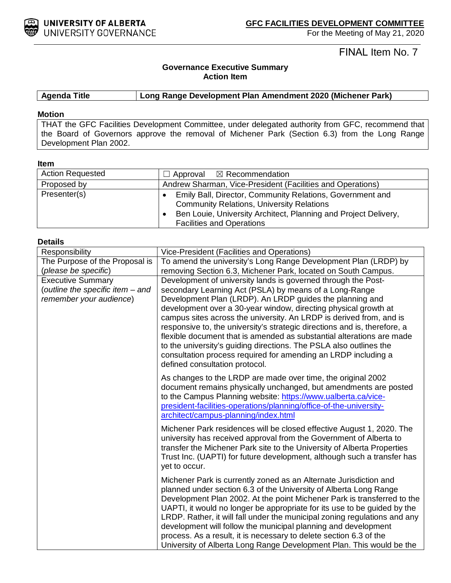

FINAL Item No. 7

### **Governance Executive Summary Action Item**

**Agenda Title Long Range Development Plan Amendment 2020 (Michener Park)**

#### **Motion**

THAT the GFC Facilities Development Committee, under delegated authority from GFC, recommend that the Board of Governors approve the removal of Michener Park (Section 6.3) from the Long Range Development Plan 2002.

#### **Item**

| <b>Action Requested</b> | $\Box$ Approval $\boxtimes$ Recommendation                                                                                                                                                                           |
|-------------------------|----------------------------------------------------------------------------------------------------------------------------------------------------------------------------------------------------------------------|
| Proposed by             | Andrew Sharman, Vice-President (Facilities and Operations)                                                                                                                                                           |
| Presenter(s)            | Emily Ball, Director, Community Relations, Government and<br><b>Community Relations, University Relations</b><br>Ben Louie, University Architect, Planning and Project Delivery,<br><b>Facilities and Operations</b> |

#### **Details**

| Responsibility                                                                          | Vice-President (Facilities and Operations)                                                                                                                                                                                                                                                                                                                                                                                                                                                                                                                                                                                  |  |  |
|-----------------------------------------------------------------------------------------|-----------------------------------------------------------------------------------------------------------------------------------------------------------------------------------------------------------------------------------------------------------------------------------------------------------------------------------------------------------------------------------------------------------------------------------------------------------------------------------------------------------------------------------------------------------------------------------------------------------------------------|--|--|
| The Purpose of the Proposal is                                                          | To amend the university's Long Range Development Plan (LRDP) by                                                                                                                                                                                                                                                                                                                                                                                                                                                                                                                                                             |  |  |
| (please be specific)                                                                    | removing Section 6.3, Michener Park, located on South Campus.                                                                                                                                                                                                                                                                                                                                                                                                                                                                                                                                                               |  |  |
| <b>Executive Summary</b><br>(outline the specific item - and<br>remember your audience) | Development of university lands is governed through the Post-<br>secondary Learning Act (PSLA) by means of a Long-Range<br>Development Plan (LRDP). An LRDP guides the planning and<br>development over a 30-year window, directing physical growth at<br>campus sites across the university. An LRDP is derived from, and is<br>responsive to, the university's strategic directions and is, therefore, a<br>flexible document that is amended as substantial alterations are made<br>to the university's guiding directions. The PSLA also outlines the<br>consultation process required for amending an LRDP including a |  |  |
|                                                                                         | defined consultation protocol.<br>As changes to the LRDP are made over time, the original 2002<br>document remains physically unchanged, but amendments are posted<br>to the Campus Planning website: https://www.ualberta.ca/vice-<br>president-facilities-operations/planning/office-of-the-university-<br>architect/campus-planning/index.html                                                                                                                                                                                                                                                                           |  |  |
|                                                                                         | Michener Park residences will be closed effective August 1, 2020. The<br>university has received approval from the Government of Alberta to<br>transfer the Michener Park site to the University of Alberta Properties<br>Trust Inc. (UAPTI) for future development, although such a transfer has<br>yet to occur.                                                                                                                                                                                                                                                                                                          |  |  |
|                                                                                         | Michener Park is currently zoned as an Alternate Jurisdiction and<br>planned under section 6.3 of the University of Alberta Long Range<br>Development Plan 2002. At the point Michener Park is transferred to the<br>UAPTI, it would no longer be appropriate for its use to be guided by the<br>LRDP. Rather, it will fall under the municipal zoning regulations and any<br>development will follow the municipal planning and development<br>process. As a result, it is necessary to delete section 6.3 of the<br>University of Alberta Long Range Development Plan. This would be the                                  |  |  |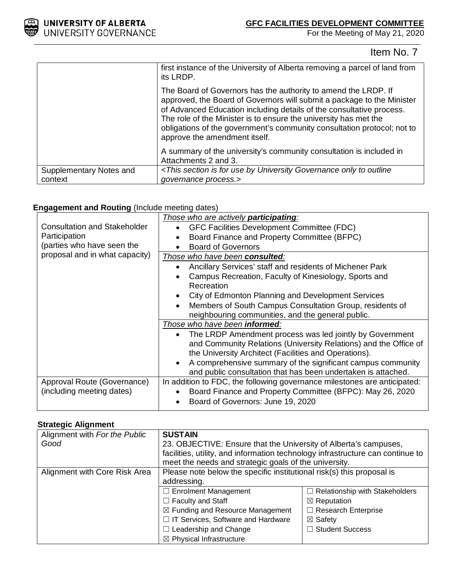

# Item No. 7

|                         | first instance of the University of Alberta removing a parcel of land from<br>its LRDP.                                                                                                                                                                                                                                                                                                          |
|-------------------------|--------------------------------------------------------------------------------------------------------------------------------------------------------------------------------------------------------------------------------------------------------------------------------------------------------------------------------------------------------------------------------------------------|
|                         | The Board of Governors has the authority to amend the LRDP. If<br>approved, the Board of Governors will submit a package to the Minister<br>of Advanced Education including details of the consultative process.<br>The role of the Minister is to ensure the university has met the<br>obligations of the government's community consultation protocol; not to<br>approve the amendment itself. |
|                         | A summary of the university's community consultation is included in<br>Attachments 2 and 3.                                                                                                                                                                                                                                                                                                      |
| Supplementary Notes and | <this by="" for="" governance="" is="" only="" outline<="" section="" td="" to="" university="" use=""></this>                                                                                                                                                                                                                                                                                   |
| context                 | governance process.>                                                                                                                                                                                                                                                                                                                                                                             |

### **Engagement and Routing** (Include meeting dates)

|                                                          | Those who are actively <b>participating</b> :                                                                                                                                                                                                                                                                         |  |  |
|----------------------------------------------------------|-----------------------------------------------------------------------------------------------------------------------------------------------------------------------------------------------------------------------------------------------------------------------------------------------------------------------|--|--|
| <b>Consultation and Stakeholder</b>                      | GFC Facilities Development Committee (FDC)                                                                                                                                                                                                                                                                            |  |  |
| Participation                                            | Board Finance and Property Committee (BFPC)                                                                                                                                                                                                                                                                           |  |  |
| (parties who have seen the                               | <b>Board of Governors</b>                                                                                                                                                                                                                                                                                             |  |  |
| proposal and in what capacity)                           | Those who have been consulted:                                                                                                                                                                                                                                                                                        |  |  |
|                                                          | Ancillary Services' staff and residents of Michener Park                                                                                                                                                                                                                                                              |  |  |
|                                                          | Campus Recreation, Faculty of Kinesiology, Sports and<br>Recreation                                                                                                                                                                                                                                                   |  |  |
|                                                          | City of Edmonton Planning and Development Services                                                                                                                                                                                                                                                                    |  |  |
|                                                          | Members of South Campus Consultation Group, residents of<br>neighbouring communities, and the general public.                                                                                                                                                                                                         |  |  |
|                                                          | Those who have been informed:                                                                                                                                                                                                                                                                                         |  |  |
|                                                          | The LRDP Amendment process was led jointly by Government<br>and Community Relations (University Relations) and the Office of<br>the University Architect (Facilities and Operations).<br>A comprehensive summary of the significant campus community<br>and public consultation that has been undertaken is attached. |  |  |
| Approval Route (Governance)<br>(including meeting dates) | In addition to FDC, the following governance milestones are anticipated:<br>Board Finance and Property Committee (BFPC): May 26, 2020<br>Board of Governors: June 19, 2020                                                                                                                                            |  |  |

### **Strategic Alignment**

| Alignment with For the Public | <b>SUSTAIN</b>                                                                 |                                       |  |
|-------------------------------|--------------------------------------------------------------------------------|---------------------------------------|--|
| Good                          | 23. OBJECTIVE: Ensure that the University of Alberta's campuses,               |                                       |  |
|                               | facilities, utility, and information technology infrastructure can continue to |                                       |  |
|                               | meet the needs and strategic goals of the university.                          |                                       |  |
| Alignment with Core Risk Area | Please note below the specific institutional risk(s) this proposal is          |                                       |  |
|                               | addressing.                                                                    |                                       |  |
|                               | $\Box$ Enrolment Management                                                    | $\Box$ Relationship with Stakeholders |  |
|                               | $\Box$ Faculty and Staff                                                       | $\boxtimes$ Reputation                |  |
|                               | $\boxtimes$ Funding and Resource Management                                    | $\Box$ Research Enterprise            |  |
|                               | □ IT Services, Software and Hardware                                           | $\boxtimes$ Safety                    |  |
|                               | $\Box$ Leadership and Change                                                   | □ Student Success                     |  |
|                               | $\boxtimes$ Physical Infrastructure                                            |                                       |  |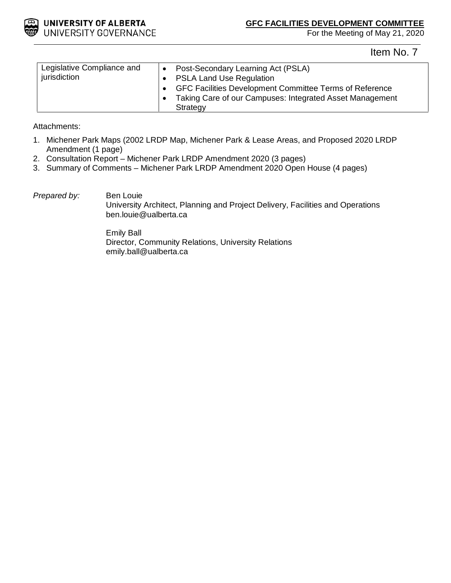

Item No. 7

| Legislative Compliance and<br>jurisdiction | Post-Secondary Learning Act (PSLA)<br>$\bullet$<br><b>PSLA Land Use Regulation</b> |
|--------------------------------------------|------------------------------------------------------------------------------------|
|                                            | GFC Facilities Development Committee Terms of Reference                            |
|                                            | Taking Care of our Campuses: Integrated Asset Management<br>Strategy               |

Attachments:

- 1. Michener Park Maps (2002 LRDP Map, Michener Park & Lease Areas, and Proposed 2020 LRDP Amendment (1 page)
- 2. Consultation Report Michener Park LRDP Amendment 2020 (3 pages)
- 3. Summary of Comments Michener Park LRDP Amendment 2020 Open House (4 pages)

### *Prepared by:* Ben Louie

University Architect, Planning and Project Delivery, Facilities and Operations ben.louie@ualberta.ca

Emily Ball Director, Community Relations, University Relations emily.ball@ualberta.ca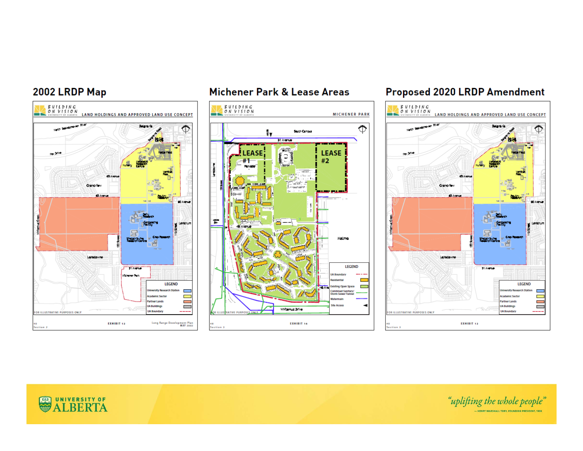# 2002 LRDP Map



# Michener Park & Lease Areas



# Proposed 2020 LRDP Amendment



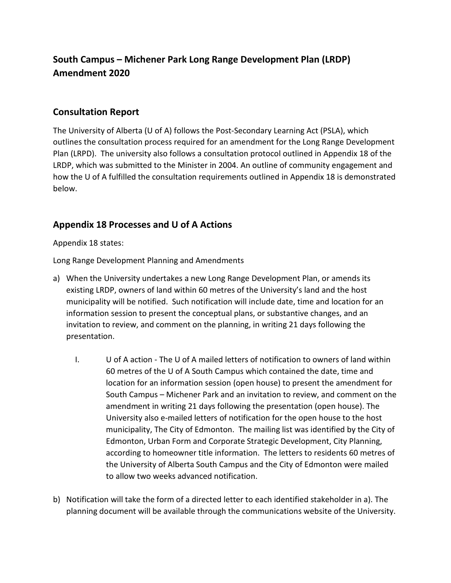# **South Campus – Michener Park Long Range Development Plan (LRDP) Amendment 2020**

## **Consultation Report**

The University of Alberta (U of A) follows the Post-Secondary Learning Act (PSLA), which outlines the consultation process required for an amendment for the Long Range Development Plan (LRPD). The university also follows a consultation protocol outlined in Appendix 18 of the LRDP, which was submitted to the Minister in 2004. An outline of community engagement and how the U of A fulfilled the consultation requirements outlined in Appendix 18 is demonstrated below.

## **Appendix 18 Processes and U of A Actions**

Appendix 18 states:

Long Range Development Planning and Amendments

- a) When the University undertakes a new Long Range Development Plan, or amends its existing LRDP, owners of land within 60 metres of the University's land and the host municipality will be notified. Such notification will include date, time and location for an information session to present the conceptual plans, or substantive changes, and an invitation to review, and comment on the planning, in writing 21 days following the presentation.
	- I. U of A action The U of A mailed letters of notification to owners of land within 60 metres of the U of A South Campus which contained the date, time and location for an information session (open house) to present the amendment for South Campus – Michener Park and an invitation to review, and comment on the amendment in writing 21 days following the presentation (open house). The University also e-mailed letters of notification for the open house to the host municipality, The City of Edmonton. The mailing list was identified by the City of Edmonton, Urban Form and Corporate Strategic Development, City Planning, according to homeowner title information. The letters to residents 60 metres of the University of Alberta South Campus and the City of Edmonton were mailed to allow two weeks advanced notification.
- b) Notification will take the form of a directed letter to each identified stakeholder in a). The planning document will be available through the communications website of the University.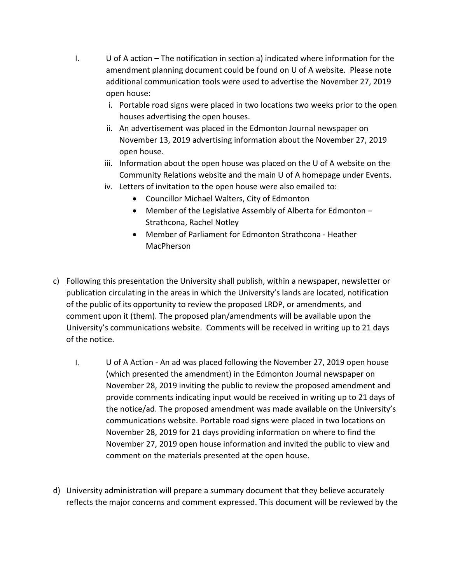- I. U of A action The notification in section a) indicated where information for the amendment planning document could be found on U of A website. Please note additional communication tools were used to advertise the November 27, 2019 open house:
	- i. Portable road signs were placed in two locations two weeks prior to the open houses advertising the open houses.
	- ii. An advertisement was placed in the Edmonton Journal newspaper on November 13, 2019 advertising information about the November 27, 2019 open house.
	- iii. Information about the open house was placed on the U of A website on the Community Relations website and the main U of A homepage under Events.
	- iv. Letters of invitation to the open house were also emailed to:
		- Councillor Michael Walters, City of Edmonton
		- Member of the Legislative Assembly of Alberta for Edmonton Strathcona, Rachel Notley
		- Member of Parliament for Edmonton Strathcona Heather MacPherson
- c) Following this presentation the University shall publish, within a newspaper, newsletter or publication circulating in the areas in which the University's lands are located, notification of the public of its opportunity to review the proposed LRDP, or amendments, and comment upon it (them). The proposed plan/amendments will be available upon the University's communications website. Comments will be received in writing up to 21 days of the notice.
	- I. U of A Action An ad was placed following the November 27, 2019 open house (which presented the amendment) in the Edmonton Journal newspaper on November 28, 2019 inviting the public to review the proposed amendment and provide comments indicating input would be received in writing up to 21 days of the notice/ad. The proposed amendment was made available on the University's communications website. Portable road signs were placed in two locations on November 28, 2019 for 21 days providing information on where to find the November 27, 2019 open house information and invited the public to view and comment on the materials presented at the open house.
- d) University administration will prepare a summary document that they believe accurately reflects the major concerns and comment expressed. This document will be reviewed by the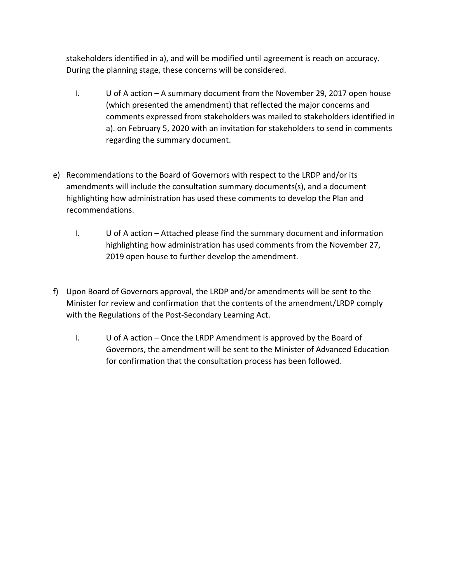stakeholders identified in a), and will be modified until agreement is reach on accuracy. During the planning stage, these concerns will be considered.

- I. U of A action A summary document from the November 29, 2017 open house (which presented the amendment) that reflected the major concerns and comments expressed from stakeholders was mailed to stakeholders identified in a). on February 5, 2020 with an invitation for stakeholders to send in comments regarding the summary document.
- e) Recommendations to the Board of Governors with respect to the LRDP and/or its amendments will include the consultation summary documents(s), and a document highlighting how administration has used these comments to develop the Plan and recommendations.
	- I. U of A action Attached please find the summary document and information highlighting how administration has used comments from the November 27, 2019 open house to further develop the amendment.
- f) Upon Board of Governors approval, the LRDP and/or amendments will be sent to the Minister for review and confirmation that the contents of the amendment/LRDP comply with the Regulations of the Post-Secondary Learning Act.
	- I. U of A action Once the LRDP Amendment is approved by the Board of Governors, the amendment will be sent to the Minister of Advanced Education for confirmation that the consultation process has been followed.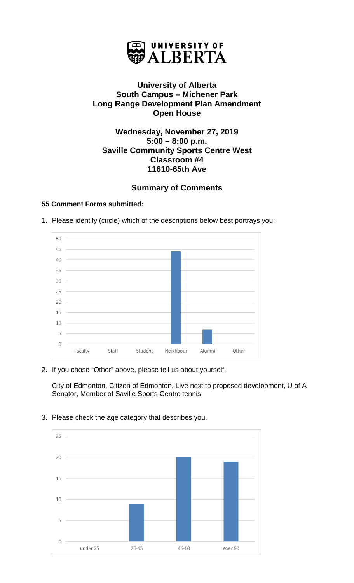

# **University of Alberta South Campus – Michener Park Long Range Development Plan Amendment Open House**

## **Wednesday, November 27, 2019 5:00 – 8:00 p.m. Saville Community Sports Centre West Classroom #4 11610-65th Ave**

# **Summary of Comments**

## **55 Comment Forms submitted:**





2. If you chose "Other" above, please tell us about yourself.

City of Edmonton, Citizen of Edmonton, Live next to proposed development, U of A Senator, Member of Saville Sports Centre tennis



3. Please check the age category that describes you.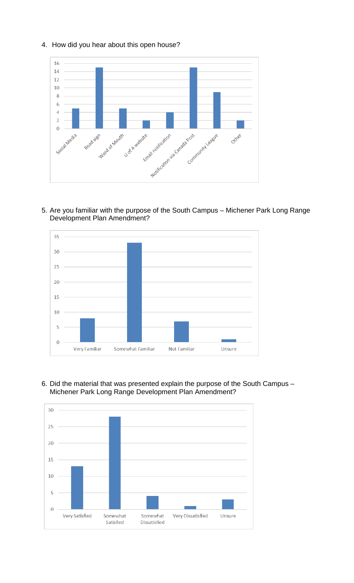



5. Are you familiar with the purpose of the South Campus – Michener Park Long Range Development Plan Amendment?



6. Did the material that was presented explain the purpose of the South Campus – Michener Park Long Range Development Plan Amendment?

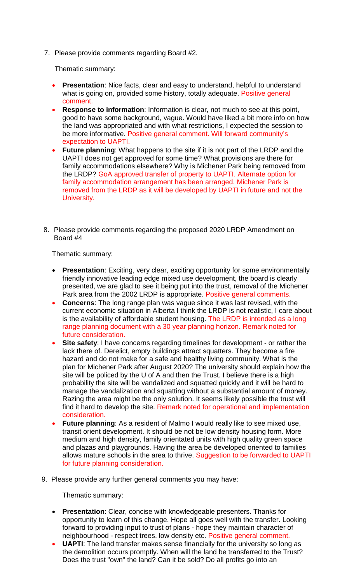7. Please provide comments regarding Board #2.

Thematic summary:

- **Presentation:** Nice facts, clear and easy to understand, helpful to understand what is going on, provided some history, totally adequate. Positive general comment.
- **Response to information**: Information is clear, not much to see at this point, good to have some background, vague. Would have liked a bit more info on how the land was appropriated and with what restrictions, I expected the session to be more informative. Positive general comment. Will forward community's expectation to UAPTI.
- **Future planning**: What happens to the site if it is not part of the LRDP and the UAPTI does not get approved for some time? What provisions are there for family accommodations elsewhere? Why is Michener Park being removed from the LRDP? GoA approved transfer of property to UAPTI. Alternate option for family accommodation arrangement has been arranged. Michener Park is removed from the LRDP as it will be developed by UAPTI in future and not the University.
- 8. Please provide comments regarding the proposed 2020 LRDP Amendment on Board #4

Thematic summary:

- **Presentation**: Exciting, very clear, exciting opportunity for some environmentally friendly innovative leading edge mixed use development, the board is clearly presented, we are glad to see it being put into the trust, removal of the Michener Park area from the 2002 LRDP is appropriate. Positive general comments.
- **Concerns**: The long range plan was vague since it was last revised, with the current economic situation in Alberta I think the LRDP is not realistic, I care about is the availability of affordable student housing. The LRDP is intended as a long range planning document with a 30 year planning horizon. Remark noted for future consideration.
- **Site safety**: I have concerns regarding timelines for development or rather the lack there of. Derelict, empty buildings attract squatters. They become a fire hazard and do not make for a safe and healthy living community. What is the plan for Michener Park after August 2020? The university should explain how the site will be policed by the U of A and then the Trust. I believe there is a high probability the site will be vandalized and squatted quickly and it will be hard to manage the vandalization and squatting without a substantial amount of money. Razing the area might be the only solution. It seems likely possible the trust will find it hard to develop the site. Remark noted for operational and implementation consideration.
- **Future planning**: As a resident of Malmo I would really like to see mixed use, transit orient development. It should be not be low density housing form. More medium and high density, family orientated units with high quality green space and plazas and playgrounds. Having the area be developed oriented to families allows mature schools in the area to thrive. Suggestion to be forwarded to UAPTI for future planning consideration.
- 9. Please provide any further general comments you may have:

Thematic summary:

- **Presentation**: Clear, concise with knowledgeable presenters. Thanks for opportunity to learn of this change. Hope all goes well with the transfer. Looking forward to providing input to trust of plans - hope they maintain character of neighbourhood - respect trees, low density etc. Positive general comment.
- **UAPTI**: The land transfer makes sense financially for the university so long as the demolition occurs promptly. When will the land be transferred to the Trust? Does the trust "own" the land? Can it be sold? Do all profits go into an